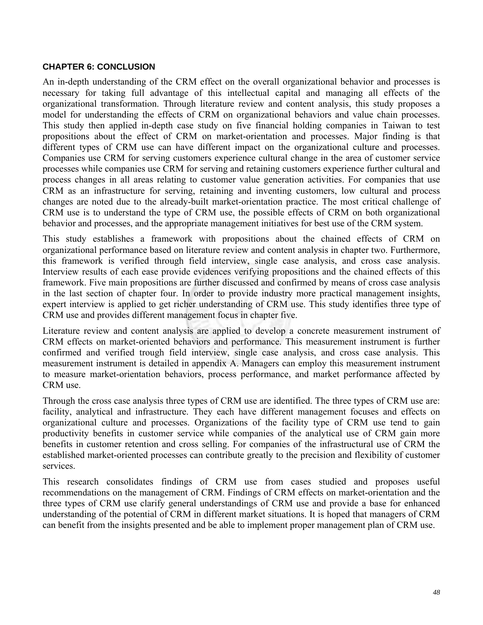## **CHAPTER 6: CONCLUSION**

An in-depth understanding of the CRM effect on the overall organizational behavior and processes is necessary for taking full advantage of this intellectual capital and managing all effects of the organizational transformation. Through literature review and content analysis, this study proposes a model for understanding the effects of CRM on organizational behaviors and value chain processes. This study then applied in-depth case study on five financial holding companies in Taiwan to test propositions about the effect of CRM on market-orientation and processes. Major finding is that different types of CRM use can have different impact on the organizational culture and processes. Companies use CRM for serving customers experience cultural change in the area of customer service processes while companies use CRM for serving and retaining customers experience further cultural and process changes in all areas relating to customer value generation activities. For companies that use CRM as an infrastructure for serving, retaining and inventing customers, low cultural and process changes are noted due to the already-built market-orientation practice. The most critical challenge of CRM use is to understand the type of CRM use, the possible effects of CRM on both organizational behavior and processes, and the appropriate management initiatives for best use of the CRM system.

This study establishes a framework with propositions about the chained effects of CRM on organizational performance based on literature review and content analysis in chapter two. Furthermore, this framework is verified through field interview, single case analysis, and cross case analysis. Interview results of each ease provide evidences verifying propositions and the chained effects of this framework. Five main propositions are further discussed and confirmed by means of cross case analysis in the last section of chapter four. In order to provide industry more practical management insights, expert interview is applied to get richer understanding of CRM use. This study identifies three type of CRM use and provides different management focus in chapter five.

Literature review and content analysis are applied to develop a concrete measurement instrument of CRM effects on market-oriented behaviors and performance. This measurement instrument is further confirmed and verified trough field interview, single case analysis, and cross case analysis. This measurement instrument is detailed in appendix A. Managers can employ this measurement instrument to measure market-orientation behaviors, process performance, and market performance affected by CRM use.

Through the cross case analysis three types of CRM use are identified. The three types of CRM use are: facility, analytical and infrastructure. They each have different management focuses and effects on organizational culture and processes. Organizations of the facility type of CRM use tend to gain productivity benefits in customer service while companies of the analytical use of CRM gain more benefits in customer retention and cross selling. For companies of the infrastructural use of CRM the established market-oriented processes can contribute greatly to the precision and flexibility of customer services.

This research consolidates findings of CRM use from cases studied and proposes useful recommendations on the management of CRM. Findings of CRM effects on market-orientation and the three types of CRM use clarify general understandings of CRM use and provide a base for enhanced understanding of the potential of CRM in different market situations. It is hoped that managers of CRM can benefit from the insights presented and be able to implement proper management plan of CRM use.